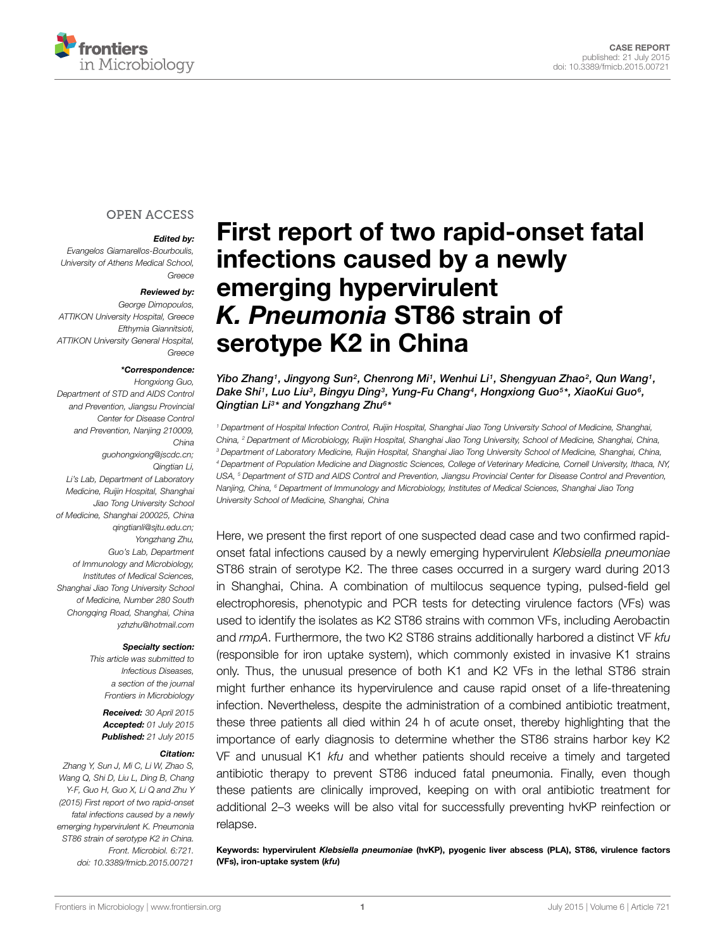

### **OPEN ACCESS**

#### *Edited by:*

*Evangelos Giamarellos-Bourboulis, University of Athens Medical School, Greece*

#### *Reviewed by:*

*George Dimopoulos, ATTIKON University Hospital, Greece Efthymia Giannitsioti, ATTIKON University General Hospital, Greece*

#### *\*Correspondence:*

*Hongxiong Guo, Department of STD and AIDS Control and Prevention, Jiangsu Provincial Center for Disease Control and Prevention, Nanjing 210009, China guohongxiong@jscdc.cn; Qingtian Li, Li's Lab, Department of Laboratory Medicine, Ruijin Hospital, Shanghai Jiao Tong University School of Medicine, Shanghai 200025, China qingtianli@sjtu.edu.cn; Yongzhang Zhu, Guo's Lab, Department of Immunology and Microbiology, Institutes of Medical Sciences, Shanghai Jiao Tong University School of Medicine, Number 280 South Chongqing Road, Shanghai, China yzhzhu@hotmail.com*

#### *Specialty section:*

*This article was submitted to Infectious Diseases, a section of the journal Frontiers in Microbiology*

> *Received: 30 April 2015 Accepted: 01 July 2015 Published: 21 July 2015*

#### *Citation:*

*Zhang Y, Sun J, Mi C, Li W, Zhao S, Wang Q, Shi D, Liu L, Ding B, Chang Y-F, Guo H, Guo X, Li Q and Zhu Y (2015) First report of two rapid-onset fatal infections caused by a newly emerging hypervirulent K. Pneumonia ST86 strain of serotype K2 in China. Front. Microbiol. 6:721. doi: [10.3389/fmicb.2015.00721](http://dx.doi.org/10.3389/fmicb.2015.00721)*

# [First report of two rapid-onset fatal](http://journal.frontiersin.org/article/10.3389/fmicb.2015.00721/abstract) infections caused by a newly emerging hypervirulent *K. Pneumonia* ST86 strain of serotype K2 in China

*[Yibo Zhang1](http://loop.frontiersin.org/people/253773), Jingyong Sun2, Chenrong Mi1, [Wenhui Li1](http://loop.frontiersin.org/people/236313), Shengyuan Zhao2, [Qun Wang1](http://loop.frontiersin.org/people/86261), Dake Shi1, [Luo Liu3](http://loop.frontiersin.org/people/234496), Bingyu Ding3, [Yung-Fu Chang4](http://loop.frontiersin.org/people/156219), [Hongxiong Guo5](http://loop.frontiersin.org/people/254812)\*, XiaoKui Guo6, [Qingtian Li3](http://loop.frontiersin.org/people/254810)\* and [Yongzhang Zhu6](http://loop.frontiersin.org/people/233193)\**

*<sup>1</sup> Department of Hospital Infection Control, Ruijin Hospital, Shanghai Jiao Tong University School of Medicine, Shanghai, China, <sup>2</sup> Department of Microbiology, Ruijin Hospital, Shanghai Jiao Tong University, School of Medicine, Shanghai, China, <sup>3</sup> Department of Laboratory Medicine, Ruijin Hospital, Shanghai Jiao Tong University School of Medicine, Shanghai, China, <sup>4</sup> Department of Population Medicine and Diagnostic Sciences, College of Veterinary Medicine, Cornell University, Ithaca, NY, USA, <sup>5</sup> Department of STD and AIDS Control and Prevention, Jiangsu Provincial Center for Disease Control and Prevention, Nanjing, China, <sup>6</sup> Department of Immunology and Microbiology, Institutes of Medical Sciences, Shanghai Jiao Tong University School of Medicine, Shanghai, China*

Here, we present the first report of one suspected dead case and two confirmed rapidonset fatal infections caused by a newly emerging hypervirulent *Klebsiella pneumoniae* ST86 strain of serotype K2. The three cases occurred in a surgery ward during 2013 in Shanghai, China. A combination of multilocus sequence typing, pulsed-field gel electrophoresis, phenotypic and PCR tests for detecting virulence factors (VFs) was used to identify the isolates as K2 ST86 strains with common VFs, including Aerobactin and *rmpA*. Furthermore, the two K2 ST86 strains additionally harbored a distinct VF *kfu* (responsible for iron uptake system), which commonly existed in invasive K1 strains only. Thus, the unusual presence of both K1 and K2 VFs in the lethal ST86 strain might further enhance its hypervirulence and cause rapid onset of a life-threatening infection. Nevertheless, despite the administration of a combined antibiotic treatment, these three patients all died within 24 h of acute onset, thereby highlighting that the importance of early diagnosis to determine whether the ST86 strains harbor key K2 VF and unusual K1 *kfu* and whether patients should receive a timely and targeted antibiotic therapy to prevent ST86 induced fatal pneumonia. Finally, even though these patients are clinically improved, keeping on with oral antibiotic treatment for additional 2–3 weeks will be also vital for successfully preventing hvKP reinfection or relapse.

Keywords: hypervirulent *Klebsiella pneumoniae* (hvKP), pyogenic liver abscess (PLA), ST86, virulence factors (VFs), iron-uptake system (*kfu*)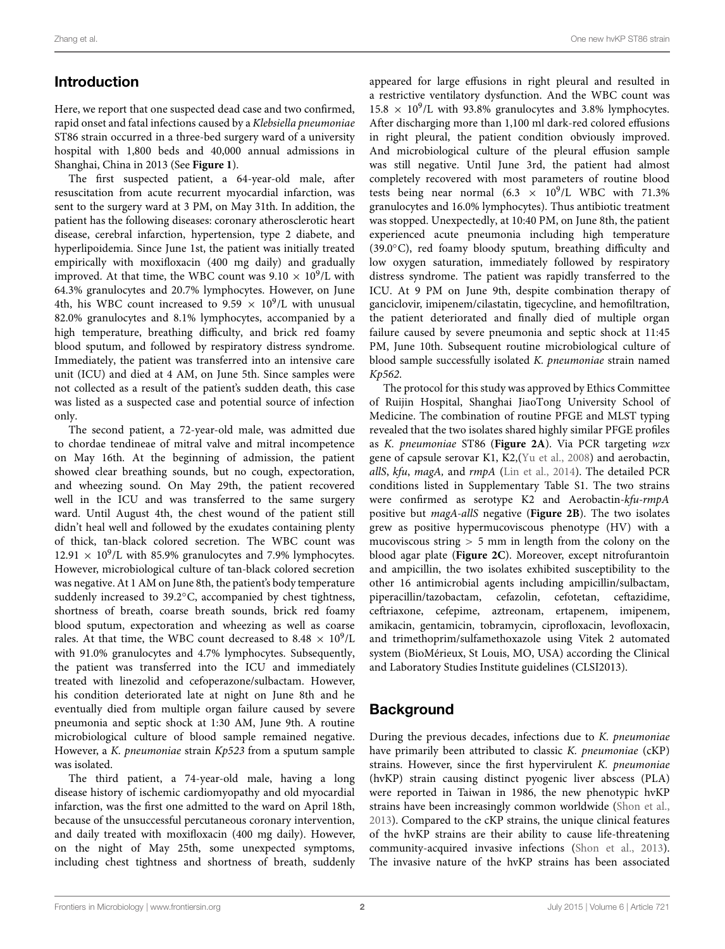## Introduction

Here, we report that one suspected dead case and two confirmed, rapid onset and fatal infections caused by a *Klebsiella pneumoniae* ST86 strain occurred in a three-bed surgery ward of a university hospital with 1,800 beds and 40,000 annual admissions in Shanghai, China in 2013 (See **[Figure 1](#page-2-0)**).

The first suspected patient, a 64-year-old male, after resuscitation from acute recurrent myocardial infarction, was sent to the surgery ward at 3 PM, on May 31th. In addition, the patient has the following diseases: coronary atherosclerotic heart disease, cerebral infarction, hypertension, type 2 diabete, and hyperlipoidemia. Since June 1st, the patient was initially treated empirically with moxifloxacin (400 mg daily) and gradually improved. At that time, the WBC count was  $9.10 \times 10^9$ /L with 64.3% granulocytes and 20.7% lymphocytes. However, on June 4th, his WBC count increased to 9.59  $\times$  10<sup>9</sup>/L with unusual 82.0% granulocytes and 8.1% lymphocytes, accompanied by a high temperature, breathing difficulty, and brick red foamy blood sputum, and followed by respiratory distress syndrome. Immediately, the patient was transferred into an intensive care unit (ICU) and died at 4 AM, on June 5th. Since samples were not collected as a result of the patient's sudden death, this case was listed as a suspected case and potential source of infection only.

The second patient, a 72-year-old male, was admitted due to chordae tendineae of mitral valve and mitral incompetence on May 16th. At the beginning of admission, the patient showed clear breathing sounds, but no cough, expectoration, and wheezing sound. On May 29th, the patient recovered well in the ICU and was transferred to the same surgery ward. Until August 4th, the chest wound of the patient still didn't heal well and followed by the exudates containing plenty of thick, tan-black colored secretion. The WBC count was  $12.91 \times 10^9$ /L with 85.9% granulocytes and 7.9% lymphocytes. However, microbiological culture of tan-black colored secretion was negative. At 1 AM on June 8th, the patient's body temperature suddenly increased to 39.2◦C, accompanied by chest tightness, shortness of breath, coarse breath sounds, brick red foamy blood sputum, expectoration and wheezing as well as coarse rales. At that time, the WBC count decreased to 8.48  $\times$  10<sup>9</sup>/L with 91.0% granulocytes and 4.7% lymphocytes. Subsequently, the patient was transferred into the ICU and immediately treated with linezolid and cefoperazone/sulbactam. However, his condition deteriorated late at night on June 8th and he eventually died from multiple organ failure caused by severe pneumonia and septic shock at 1:30 AM, June 9th. A routine microbiological culture of blood sample remained negative. However, a *K. pneumoniae* strain *Kp523* from a sputum sample was isolated.

The third patient, a 74-year-old male, having a long disease history of ischemic cardiomyopathy and old myocardial infarction, was the first one admitted to the ward on April 18th, because of the unsuccessful percutaneous coronary intervention, and daily treated with moxifloxacin (400 mg daily). However, on the night of May 25th, some unexpected symptoms, including chest tightness and shortness of breath, suddenly appeared for large effusions in right pleural and resulted in a restrictive ventilatory dysfunction. And the WBC count was  $15.8 \times 10^9$ /L with 93.8% granulocytes and 3.8% lymphocytes. After discharging more than 1,100 ml dark-red colored effusions in right pleural, the patient condition obviously improved. And microbiological culture of the pleural effusion sample was still negative. Until June 3rd, the patient had almost completely recovered with most parameters of routine blood tests being near normal  $(6.3 \times 10^9)$ L WBC with 71.3% granulocytes and 16.0% lymphocytes). Thus antibiotic treatment was stopped. Unexpectedly, at 10:40 PM, on June 8th, the patient experienced acute pneumonia including high temperature (39.0◦C), red foamy bloody sputum, breathing difficulty and low oxygen saturation, immediately followed by respiratory distress syndrome. The patient was rapidly transferred to the ICU. At 9 PM on June 9th, despite combination therapy of ganciclovir, imipenem/cilastatin, tigecycline, and hemofiltration, the patient deteriorated and finally died of multiple organ failure caused by severe pneumonia and septic shock at 11:45 PM, June 10th. Subsequent routine microbiological culture of blood sample successfully isolated *K. pneumoniae* strain named *Kp562*.

The protocol for this study was approved by Ethics Committee of Ruijin Hospital, Shanghai JiaoTong University School of Medicine. The combination of routine PFGE and MLST typing revealed that the two isolates shared highly similar PFGE profiles as *K. pneumoniae* ST86 (**[Figure 2A](#page-2-1)**). Via PCR targeting *wzx* gene of capsule serovar K1, K2,[\(Yu et al.](#page-4-0), [2008](#page-4-0)) and aerobactin, *allS*, *kfu*, *magA,* and *rmpA* [\(Lin et al., 2014](#page-4-1)). The detailed PCR conditions listed in Supplementary Table S1. The two strains were confirmed as serotype K2 and Aerobactin-*kfu-rmpA* positive but *magA-allS* negative (**[Figure 2B](#page-2-1)**). The two isolates grew as positive hypermucoviscous phenotype (HV) with a mucoviscous string *>* 5 mm in length from the colony on the blood agar plate (**[Figure 2C](#page-2-1)**). Moreover, except nitrofurantoin and ampicillin, the two isolates exhibited susceptibility to the other 16 antimicrobial agents including ampicillin/sulbactam, piperacillin/tazobactam, cefazolin, cefotetan, ceftazidime, ceftriaxone, cefepime, aztreonam, ertapenem, imipenem, amikacin, gentamicin, tobramycin, ciprofloxacin, levofloxacin, and trimethoprim/sulfamethoxazole using Vitek 2 automated system (BioMérieux, St Louis, MO, USA) according the Clinical and Laboratory Studies Institute guidelines (CLSI2013).

## Background

During the previous decades, infections due to *K. pneumoniae* have primarily been attributed to classic *K. pneumoniae* (cKP) strains. However, since the first hypervirulent *K. pneumoniae* (hvKP) strain causing distinct pyogenic liver abscess (PLA) were reported in Taiwan in 1986, the new phenotypic hvKP strains have been increasingly common worldwide [\(Shon et al.](#page-4-2), [2013\)](#page-4-2). Compared to the cKP strains, the unique clinical features of the hvKP strains are their ability to cause life-threatening community-acquired invasive infections [\(Shon et al., 2013\)](#page-4-2). The invasive nature of the hvKP strains has been associated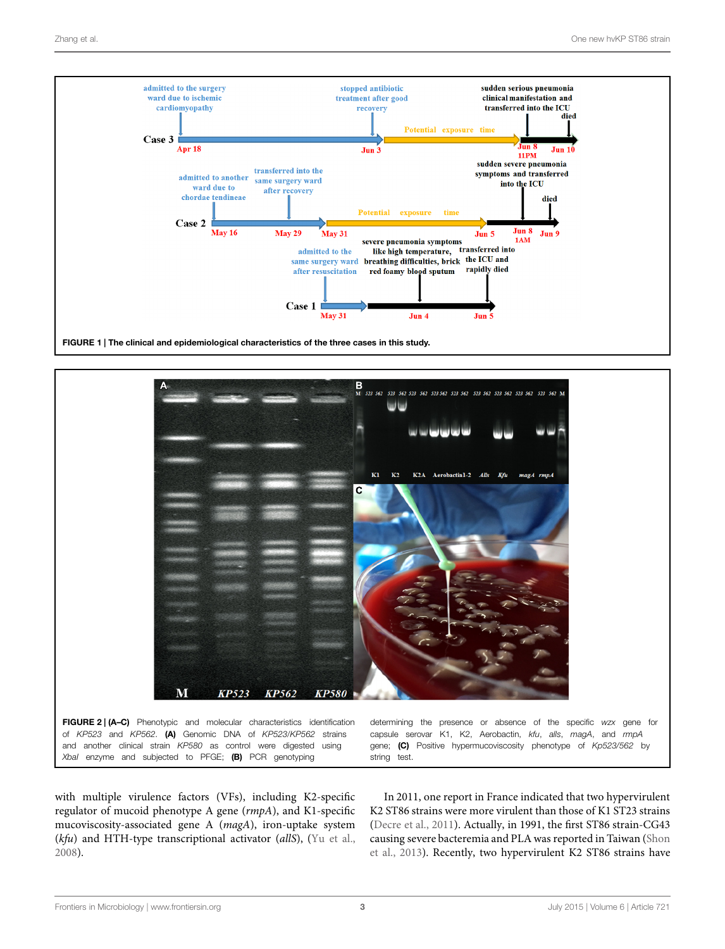

<span id="page-2-0"></span>

<span id="page-2-1"></span>with multiple virulence factors (VFs), including K2-specific regulator of mucoid phenotype A gene (*rmpA*), and K1-specific mucoviscosity-associated gene A (*magA*), iron-uptake system (*kfu*) and HTH-type transcriptional activator (*allS*), [\(Yu et al.,](#page-4-0) [2008](#page-4-0)).

In 2011, one report in France indicated that two hypervirulent K2 ST86 strains were more virulent than those of K1 ST23 strains [\(Decre et al.](#page-4-3), [2011\)](#page-4-3). Actually, in 1991, the first ST86 strain-CG43 caus[ing severe bacteremia and PLA was reported in Taiwan \(](#page-4-2)Shon et al., [2013\)](#page-4-2). Recently, two hypervirulent K2 ST86 strains have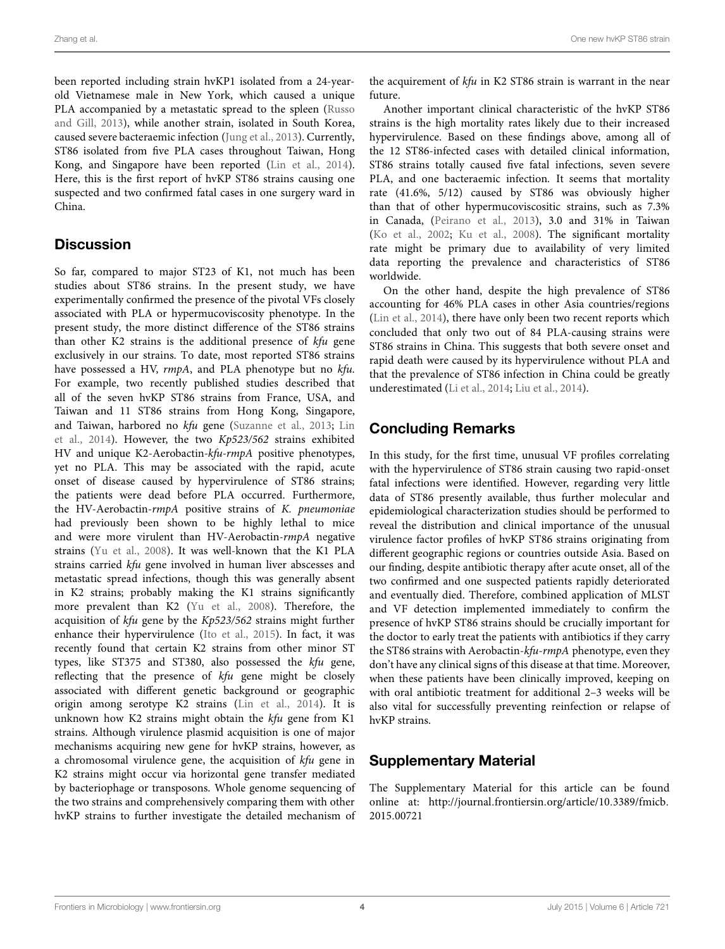been reported including strain hvKP1 isolated from a 24-yearold Vietnamese male in New York, which caused a unique PLA ac[companied by a metastatic spread to the spleen \(](#page-4-4)Russo and Gill, [2013](#page-4-4)), while another strain, isolated in South Korea, caused severe bacteraemic infection [\(Jung et al.](#page-4-5), [2013\)](#page-4-5). Currently, ST86 isolated from five PLA cases throughout Taiwan, Hong Kong, and Singapore have been reported [\(Lin et al., 2014](#page-4-1)). Here, this is the first report of hvKP ST86 strains causing one suspected and two confirmed fatal cases in one surgery ward in China.

## **Discussion**

So far, compared to major ST23 of K1, not much has been studies about ST86 strains. In the present study, we have experimentally confirmed the presence of the pivotal VFs closely associated with PLA or hypermucoviscosity phenotype. In the present study, the more distinct difference of the ST86 strains than other K2 strains is the additional presence of *kfu* gene exclusively in our strains. To date, most reported ST86 strains have possessed a HV, *rmpA*, and PLA phenotype but no *kfu*. For example, two recently published studies described that all of the seven hvKP ST86 strains from France, USA, and Taiwan and 11 ST86 strains from Hong Kong, Singapore, and Taiwan, harbored no *kfu* [gene](#page-4-1) [\(Suzanne et al.](#page-4-6)[,](#page-4-1) [2013](#page-4-6)[;](#page-4-1) Lin et al., [2014](#page-4-1)). However, the two *Kp523/562* strains exhibited HV and unique K2-Aerobactin*-kfu-rmpA* positive phenotypes, yet no PLA. This may be associated with the rapid, acute onset of disease caused by hypervirulence of ST86 strains; the patients were dead before PLA occurred. Furthermore, the HV-Aerobactin-*rmpA* positive strains of *K. pneumoniae* had previously been shown to be highly lethal to mice and were more virulent than HV-Aerobactin-*rmpA* negative strains [\(Yu et al.](#page-4-0), [2008\)](#page-4-0). It was well-known that the K1 PLA strains carried *kfu* gene involved in human liver abscesses and metastatic spread infections, though this was generally absent in K2 strains; probably making the K1 strains significantly more prevalent than K2 [\(Yu et al.](#page-4-0), [2008](#page-4-0)). Therefore, the acquisition of *kfu* gene by the *Kp523/562* strains might further enhance their hypervirulence [\(Ito et al., 2015](#page-4-7)). In fact, it was recently found that certain K2 strains from other minor ST types, like ST375 and ST380, also possessed the *kfu* gene, reflecting that the presence of *kfu* gene might be closely associated with different genetic background or geographic origin among serotype K2 strains [\(Lin et al., 2014](#page-4-1)). It is unknown how K2 strains might obtain the *kfu* gene from K1 strains. Although virulence plasmid acquisition is one of major mechanisms acquiring new gene for hvKP strains, however, as a chromosomal virulence gene, the acquisition of *kfu* gene in K2 strains might occur via horizontal gene transfer mediated by bacteriophage or transposons. Whole genome sequencing of the two strains and comprehensively comparing them with other hvKP strains to further investigate the detailed mechanism of

the acquirement of *kfu* in K2 ST86 strain is warrant in the near future.

Another important clinical characteristic of the hvKP ST86 strains is the high mortality rates likely due to their increased hypervirulence. Based on these findings above, among all of the 12 ST86-infected cases with detailed clinical information, ST86 strains totally caused five fatal infections, seven severe PLA, and one bacteraemic infection. It seems that mortality rate (41.6%, 5/12) caused by ST86 was obviously higher than that of other hypermucoviscositic strains, such as 7.3% in Canada, [\(Peirano et al., 2013\)](#page-4-8), 3.0 and 31% in Taiwan [\(Ko et al., 2002](#page-4-9); [Ku et al., 2008](#page-4-10)). The significant mortality rate might be primary due to availability of very limited data reporting the prevalence and characteristics of ST86 worldwide.

On the other hand, despite the high prevalence of ST86 accounting for 46% PLA cases in other Asia countries/regions [\(Lin et al., 2014](#page-4-1)), there have only been two recent reports which concluded that only two out of 84 PLA-causing strains were ST86 strains in China. This suggests that both severe onset and rapid death were caused by its hypervirulence without PLA and that the prevalence of ST86 infection in China could be greatly underestimated [\(Li et al.](#page-4-11), [2014;](#page-4-11) [Liu et al., 2014](#page-4-12)).

# Concluding Remarks

In this study, for the first time, unusual VF profiles correlating with the hypervirulence of ST86 strain causing two rapid-onset fatal infections were identified. However, regarding very little data of ST86 presently available, thus further molecular and epidemiological characterization studies should be performed to reveal the distribution and clinical importance of the unusual virulence factor profiles of hvKP ST86 strains originating from different geographic regions or countries outside Asia. Based on our finding, despite antibiotic therapy after acute onset, all of the two confirmed and one suspected patients rapidly deteriorated and eventually died. Therefore, combined application of MLST and VF detection implemented immediately to confirm the presence of hvKP ST86 strains should be crucially important for the doctor to early treat the patients with antibiotics if they carry the ST86 strains with Aerobactin-*kfu*-*rmpA* phenotype, even they don't have any clinical signs of this disease at that time. Moreover, when these patients have been clinically improved, keeping on with oral antibiotic treatment for additional 2–3 weeks will be also vital for successfully preventing reinfection or relapse of hvKP strains.

# Supplementary Material

The Supplementary Material for this article can be found online at: [http://journal](http://journal.frontiersin.org/article/10.3389/fmicb.2015.00721)*.*frontiersin*.*org/article/10*.*3389/fmicb*.* 2015*.*[00721](http://journal.frontiersin.org/article/10.3389/fmicb.2015.00721)